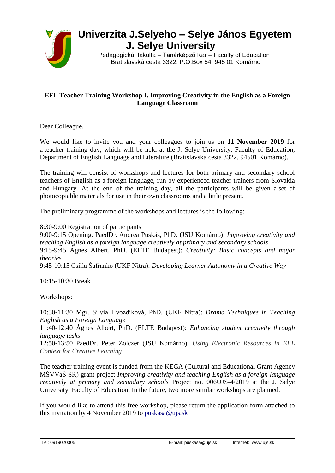

## **Univerzita J.Selyeho – Selye János Egyetem J. Selye University**

Pedagogická fakulta – Tanárképző Kar – Faculty of Education Bratislavská cesta 3322, P.O.Box 54, 945 01 Komárno

## **EFL Teacher Training Workshop I. Improving Creativity in the English as a Foreign Language Classroom**

Dear Colleague,

We would like to invite you and your colleagues to join us on **11 November 2019** for a teacher training day, which will be held at the J. Selye University, Faculty of Education, Department of English Language and Literature (Bratislavská cesta 3322, 94501 Komárno).

The training will consist of workshops and lectures for both primary and secondary school teachers of English as a foreign language, run by experienced teacher trainers from Slovakia and Hungary. At the end of the training day, all the participants will be given a set of photocopiable materials for use in their own classrooms and a little present.

The preliminary programme of the workshops and lectures is the following:

8:30-9:00 Registration of participants

9:00-9:15 Opening. PaedDr. Andrea Puskás, PhD. (JSU Komárno): *Improving creativity and teaching English as a foreign language creatively at primary and secondary schools* 9:15-9:45 Ágnes Albert, PhD. (ELTE Budapest): *Creativity: Basic concepts and major theories* 9:45-10:15 Csilla Šafranko (UKF Nitra): *Developing Learner Autonomy in a Creative Way*

10:15-10:30 Break

Workshops:

10:30-11:30 Mgr. Silvia Hvozdíková, PhD. (UKF Nitra): *Drama Techniques in Teaching English as a Foreign Language*

11:40-12:40 Ágnes Albert, PhD. (ELTE Budapest): *Enhancing student creativity through language tasks*

12:50-13:50 PaedDr. Peter Zolczer (JSU Komárno): *Using Electronic Resources in EFL Context for Creative Learning*

The teacher training event is funded from the KEGA (Cultural and Educational Grant Agency MŠVVaŠ SR) grant project *Improving creativity and teaching English as a foreign language creatively at primary and secondary schools* Project no. 006UJS-4/2019 at the J. Selye University, Faculty of Education. In the future, two more similar workshops are planned.

If you would like to attend this free workshop, please return the application form attached to this invitation by 4 November 2019 to [puskasa@ujs.sk](mailto:puskasa@ujs.sk)